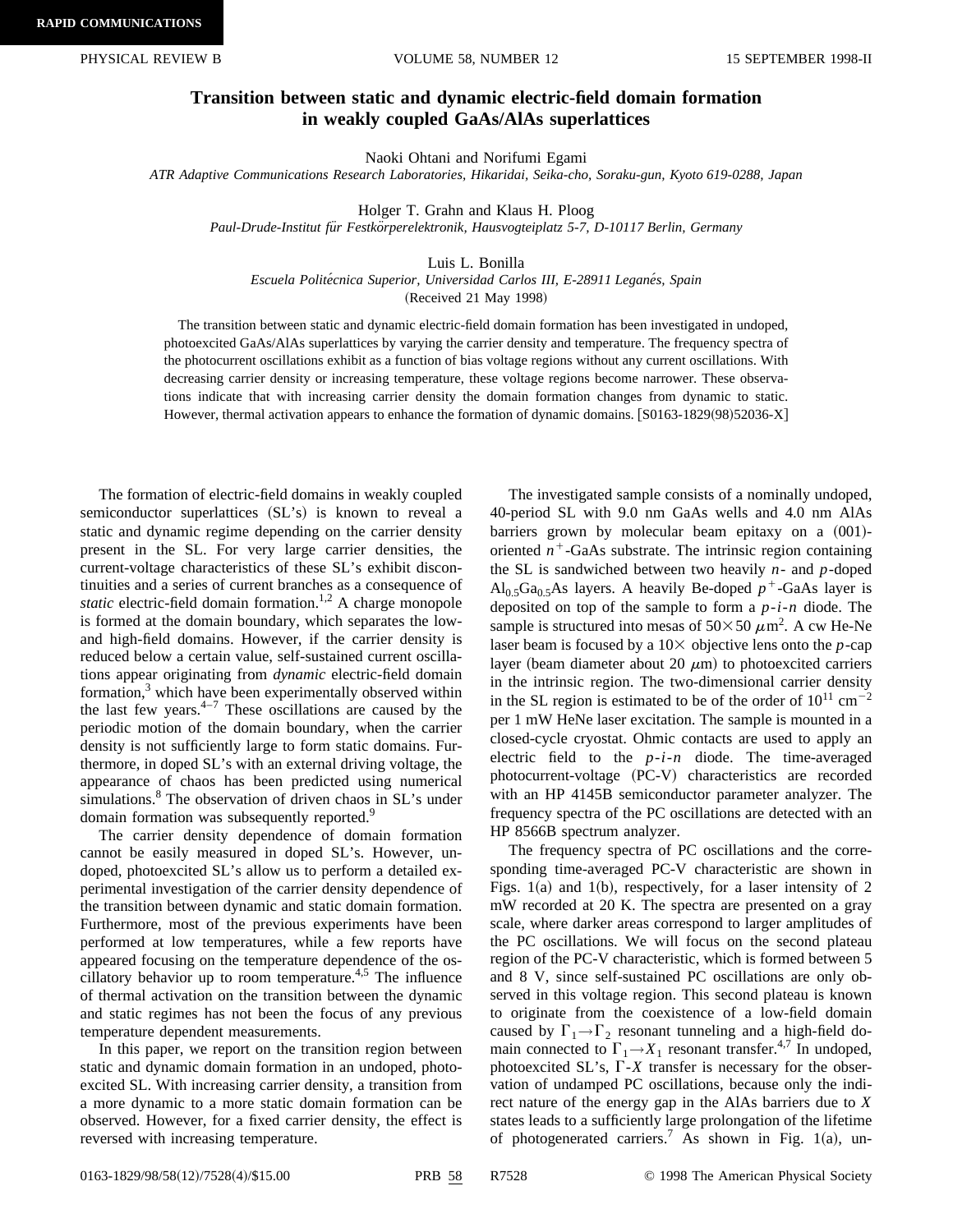## **Transition between static and dynamic electric-field domain formation in weakly coupled GaAs/AlAs superlattices**

Naoki Ohtani and Norifumi Egami

*ATR Adaptive Communications Research Laboratories, Hikaridai, Seika-cho, Soraku-gun, Kyoto 619-0288, Japan*

Holger T. Grahn and Klaus H. Ploog

*Paul-Drude-Institut fu¨r Festko¨rperelektronik, Hausvogteiplatz 5-7, D-10117 Berlin, Germany*

Luis L. Bonilla

*Escuela Polite´cnica Superior, Universidad Carlos III, E-28911 Legane´s, Spain*

(Received 21 May 1998)

The transition between static and dynamic electric-field domain formation has been investigated in undoped, photoexcited GaAs/AlAs superlattices by varying the carrier density and temperature. The frequency spectra of the photocurrent oscillations exhibit as a function of bias voltage regions without any current oscillations. With decreasing carrier density or increasing temperature, these voltage regions become narrower. These observations indicate that with increasing carrier density the domain formation changes from dynamic to static. However, thermal activation appears to enhance the formation of dynamic domains.  $[**S**0163-1829(98)52036-X]$ 

The formation of electric-field domains in weakly coupled semiconductor superlattices  $(SL's)$  is known to reveal a static and dynamic regime depending on the carrier density present in the SL. For very large carrier densities, the current-voltage characteristics of these SL's exhibit discontinuities and a series of current branches as a consequence of *static* electric-field domain formation.<sup>1,2</sup> A charge monopole is formed at the domain boundary, which separates the lowand high-field domains. However, if the carrier density is reduced below a certain value, self-sustained current oscillations appear originating from *dynamic* electric-field domain formation, $3$  which have been experimentally observed within the last few years. $4-7$  These oscillations are caused by the periodic motion of the domain boundary, when the carrier density is not sufficiently large to form static domains. Furthermore, in doped SL's with an external driving voltage, the appearance of chaos has been predicted using numerical simulations.<sup>8</sup> The observation of driven chaos in SL's under domain formation was subsequently reported.<sup>9</sup>

The carrier density dependence of domain formation cannot be easily measured in doped SL's. However, undoped, photoexcited SL's allow us to perform a detailed experimental investigation of the carrier density dependence of the transition between dynamic and static domain formation. Furthermore, most of the previous experiments have been performed at low temperatures, while a few reports have appeared focusing on the temperature dependence of the oscillatory behavior up to room temperature.<sup>4,5</sup> The influence of thermal activation on the transition between the dynamic and static regimes has not been the focus of any previous temperature dependent measurements.

In this paper, we report on the transition region between static and dynamic domain formation in an undoped, photoexcited SL. With increasing carrier density, a transition from a more dynamic to a more static domain formation can be observed. However, for a fixed carrier density, the effect is reversed with increasing temperature.

The investigated sample consists of a nominally undoped, 40-period SL with 9.0 nm GaAs wells and 4.0 nm AlAs barriers grown by molecular beam epitaxy on a  $(001)$ oriented  $n^+$ -GaAs substrate. The intrinsic region containing the SL is sandwiched between two heavily *n*- and *p*-doped  $\text{Al}_{0.5}\text{Ga}_{0.5}\text{As}$  layers. A heavily Be-doped  $p^+$ -GaAs layer is deposited on top of the sample to form a *p*-*i*-*n* diode. The sample is structured into mesas of  $50\times50 \ \mu \text{m}^2$ . A cw He-Ne laser beam is focused by a  $10\times$  objective lens onto the *p*-cap layer (beam diameter about 20  $\mu$ m) to photoexcited carriers in the intrinsic region. The two-dimensional carrier density in the SL region is estimated to be of the order of  $10^{11}$  cm<sup>-2</sup> per 1 mW HeNe laser excitation. The sample is mounted in a closed-cycle cryostat. Ohmic contacts are used to apply an electric field to the *p*-*i*-*n* diode. The time-averaged photocurrent-voltage (PC-V) characteristics are recorded with an HP 4145B semiconductor parameter analyzer. The frequency spectra of the PC oscillations are detected with an HP 8566B spectrum analyzer.

The frequency spectra of PC oscillations and the corresponding time-averaged PC-V characteristic are shown in Figs. 1(a) and 1(b), respectively, for a laser intensity of 2 mW recorded at 20 K. The spectra are presented on a gray scale, where darker areas correspond to larger amplitudes of the PC oscillations. We will focus on the second plateau region of the PC-V characteristic, which is formed between 5 and 8 V, since self-sustained PC oscillations are only observed in this voltage region. This second plateau is known to originate from the coexistence of a low-field domain caused by  $\Gamma_1 \rightarrow \Gamma_2$  resonant tunneling and a high-field domain connected to  $\Gamma_1 \rightarrow X_1$  resonant transfer.<sup>4,7</sup> In undoped, photoexcited SL's,  $\Gamma$ -*X* transfer is necessary for the observation of undamped PC oscillations, because only the indirect nature of the energy gap in the AlAs barriers due to *X* states leads to a sufficiently large prolongation of the lifetime of photogenerated carriers.<sup>7</sup> As shown in Fig. 1(a), un-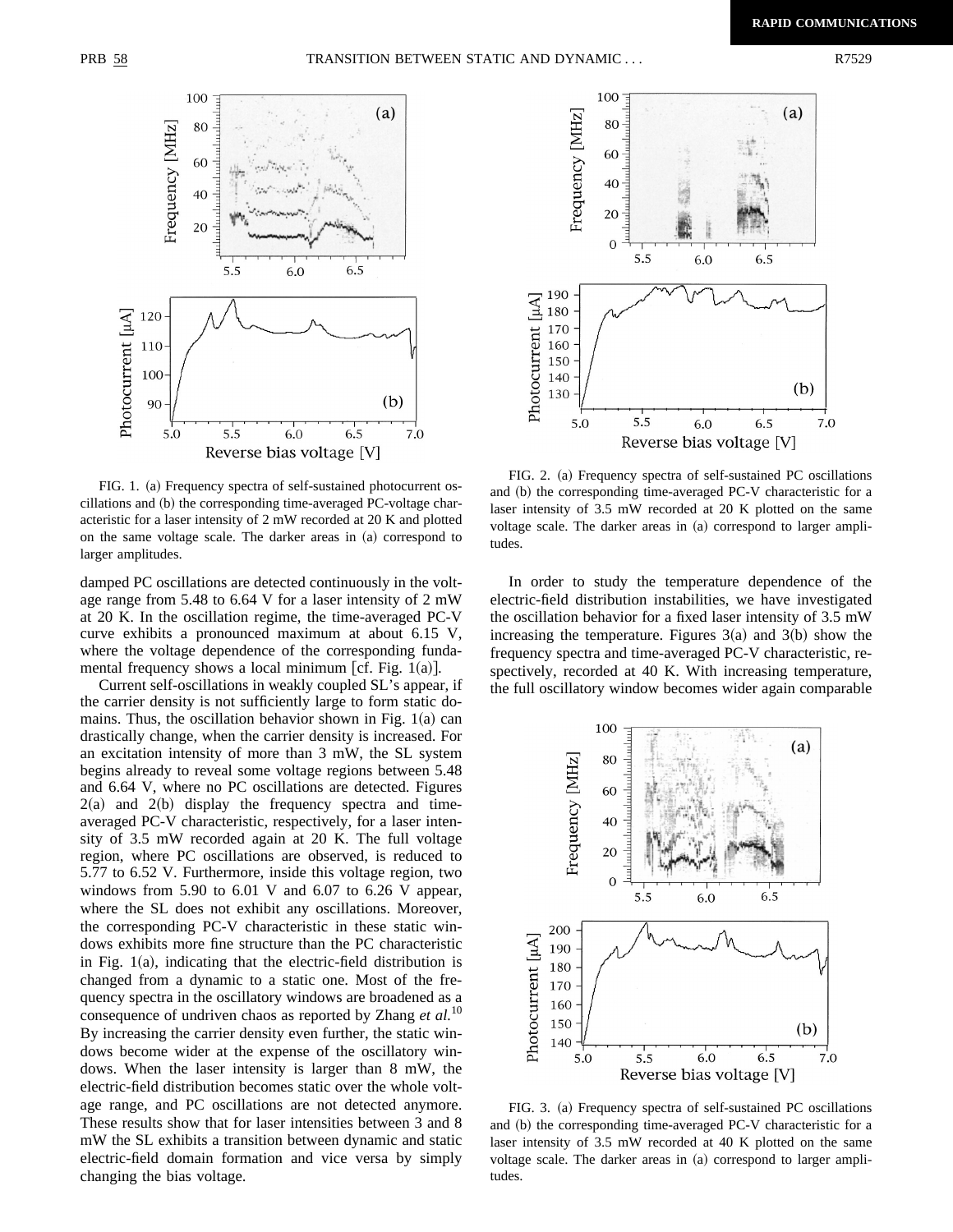

FIG. 1. (a) Frequency spectra of self-sustained photocurrent os $cillations and (b) the corresponding time-averaged PC-voltage char$ acteristic for a laser intensity of 2 mW recorded at 20 K and plotted on the same voltage scale. The darker areas in  $(a)$  correspond to larger amplitudes.

damped PC oscillations are detected continuously in the voltage range from 5.48 to 6.64 V for a laser intensity of 2 mW at 20 K. In the oscillation regime, the time-averaged PC-V curve exhibits a pronounced maximum at about 6.15 V, where the voltage dependence of the corresponding fundamental frequency shows a local minimum [cf. Fig.  $1(a)$ ].

Current self-oscillations in weakly coupled SL's appear, if the carrier density is not sufficiently large to form static domains. Thus, the oscillation behavior shown in Fig.  $1(a)$  can drastically change, when the carrier density is increased. For an excitation intensity of more than 3 mW, the SL system begins already to reveal some voltage regions between 5.48 and 6.64 V, where no PC oscillations are detected. Figures  $2(a)$  and  $2(b)$  display the frequency spectra and timeaveraged PC-V characteristic, respectively, for a laser intensity of 3.5 mW recorded again at 20 K. The full voltage region, where PC oscillations are observed, is reduced to 5.77 to 6.52 V. Furthermore, inside this voltage region, two windows from 5.90 to 6.01 V and 6.07 to 6.26 V appear, where the SL does not exhibit any oscillations. Moreover, the corresponding PC-V characteristic in these static windows exhibits more fine structure than the PC characteristic in Fig.  $1(a)$ , indicating that the electric-field distribution is changed from a dynamic to a static one. Most of the frequency spectra in the oscillatory windows are broadened as a consequence of undriven chaos as reported by Zhang *et al.*<sup>10</sup> By increasing the carrier density even further, the static windows become wider at the expense of the oscillatory windows. When the laser intensity is larger than 8 mW, the electric-field distribution becomes static over the whole voltage range, and PC oscillations are not detected anymore. These results show that for laser intensities between 3 and 8 mW the SL exhibits a transition between dynamic and static electric-field domain formation and vice versa by simply changing the bias voltage.



FIG. 2. (a) Frequency spectra of self-sustained PC oscillations and (b) the corresponding time-averaged PC-V characteristic for a laser intensity of 3.5 mW recorded at 20 K plotted on the same voltage scale. The darker areas in (a) correspond to larger amplitudes.

In order to study the temperature dependence of the electric-field distribution instabilities, we have investigated the oscillation behavior for a fixed laser intensity of 3.5 mW increasing the temperature. Figures  $3(a)$  and  $3(b)$  show the frequency spectra and time-averaged PC-V characteristic, respectively, recorded at 40 K. With increasing temperature, the full oscillatory window becomes wider again comparable



FIG. 3. (a) Frequency spectra of self-sustained PC oscillations and (b) the corresponding time-averaged PC-V characteristic for a laser intensity of 3.5 mW recorded at 40 K plotted on the same voltage scale. The darker areas in (a) correspond to larger amplitudes.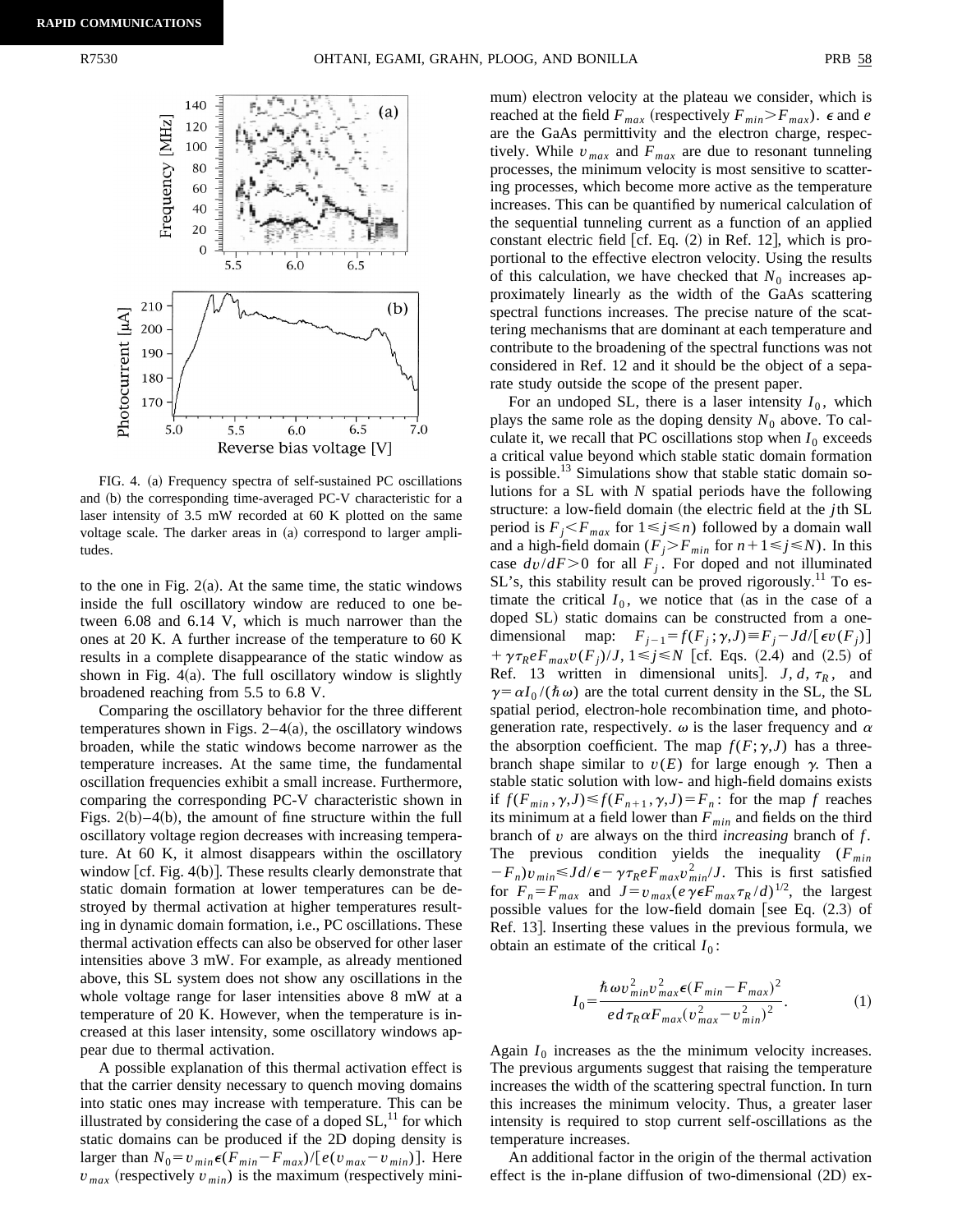

FIG. 4. (a) Frequency spectra of self-sustained PC oscillations and (b) the corresponding time-averaged PC-V characteristic for a laser intensity of 3.5 mW recorded at 60 K plotted on the same voltage scale. The darker areas in  $(a)$  correspond to larger amplitudes.

to the one in Fig.  $2(a)$ . At the same time, the static windows inside the full oscillatory window are reduced to one between 6.08 and 6.14 V, which is much narrower than the ones at 20 K. A further increase of the temperature to 60 K results in a complete disappearance of the static window as shown in Fig.  $4(a)$ . The full oscillatory window is slightly broadened reaching from 5.5 to 6.8 V.

Comparing the oscillatory behavior for the three different temperatures shown in Figs.  $2-4(a)$ , the oscillatory windows broaden, while the static windows become narrower as the temperature increases. At the same time, the fundamental oscillation frequencies exhibit a small increase. Furthermore, comparing the corresponding PC-V characteristic shown in Figs.  $2(b) - 4(b)$ , the amount of fine structure within the full oscillatory voltage region decreases with increasing temperature. At 60 K, it almost disappears within the oscillatory window  $[cf. Fig. 4(b)].$  These results clearly demonstrate that static domain formation at lower temperatures can be destroyed by thermal activation at higher temperatures resulting in dynamic domain formation, i.e., PC oscillations. These thermal activation effects can also be observed for other laser intensities above 3 mW. For example, as already mentioned above, this SL system does not show any oscillations in the whole voltage range for laser intensities above 8 mW at a temperature of 20 K. However, when the temperature is increased at this laser intensity, some oscillatory windows appear due to thermal activation.

A possible explanation of this thermal activation effect is that the carrier density necessary to quench moving domains into static ones may increase with temperature. This can be illustrated by considering the case of a doped  $SL<sup>11</sup>$  for which static domains can be produced if the 2D doping density is larger than  $N_0 = v_{min} \epsilon(F_{min} - F_{max})/[e(v_{max} - v_{min})]$ . Here  $v_{max}$  (respectively  $v_{min}$ ) is the maximum (respectively minimum) electron velocity at the plateau we consider, which is reached at the field  $F_{max}$  (respectively  $F_{min} > F_{max}$ ).  $\epsilon$  and *e* are the GaAs permittivity and the electron charge, respectively. While  $v_{max}$  and  $F_{max}$  are due to resonant tunneling processes, the minimum velocity is most sensitive to scattering processes, which become more active as the temperature increases. This can be quantified by numerical calculation of the sequential tunneling current as a function of an applied constant electric field  $[cf. Eq. (2)$  in Ref. 12, which is proportional to the effective electron velocity. Using the results of this calculation, we have checked that  $N_0$  increases approximately linearly as the width of the GaAs scattering spectral functions increases. The precise nature of the scattering mechanisms that are dominant at each temperature and contribute to the broadening of the spectral functions was not considered in Ref. 12 and it should be the object of a separate study outside the scope of the present paper.

For an undoped SL, there is a laser intensity  $I_0$ , which plays the same role as the doping density  $N_0$  above. To calculate it, we recall that PC oscillations stop when  $I_0$  exceeds a critical value beyond which stable static domain formation is possible.<sup>13</sup> Simulations show that stable static domain solutions for a SL with *N* spatial periods have the following structure: a low-field domain (the electric field at the *j*th SL period is  $F_j \leq F_{max}$  for  $1 \leq j \leq n$ ) followed by a domain wall and a high-field domain  $(F_j > F_{min}$  for  $n + 1 \le j \le N$ ). In this case  $dv/dF > 0$  for all  $F_j$ . For doped and not illuminated SL's, this stability result can be proved rigorously.<sup>11</sup> To estimate the critical  $I_0$ , we notice that (as in the case of a doped SL) static domains can be constructed from a onedimensional map:  $F_{j-1} = f(F_j; \gamma, J) \equiv F_j - Jd/[\epsilon v(F_j)]$  $+\gamma\tau_{R}eF_{max}v(F_{i})/J$ ,  $1 \le j \le N$  [cf. Eqs. (2.4) and (2.5) of Ref. 13 written in dimensional units].  $J, d, \tau_R$ , and  $\gamma = \alpha I_0 / (\hbar \omega)$  are the total current density in the SL, the SL spatial period, electron-hole recombination time, and photogeneration rate, respectively.  $\omega$  is the laser frequency and  $\alpha$ the absorption coefficient. The map  $f(F; \gamma, J)$  has a threebranch shape similar to  $v(E)$  for large enough  $\gamma$ . Then a stable static solution with low- and high-field domains exists if  $f(F_{min}, \gamma, J) \leq f(F_{n+1}, \gamma, J) = F_n$ : for the map *f* reaches its minimum at a field lower than  $F_{min}$  and fields on the third branch of *v* are always on the third *increasing* branch of *f* . The previous condition yields the inequality ( $F_{min}$ )  $-F_n)v_{min} \leq Jd/\epsilon - \gamma \tau_R e F_{max} v_{min}^2/J$ . This is first satisfied for  $F_n = F_{max}$  and  $J = v_{max}(e \gamma \epsilon F_{max} \tau_R / d)^{1/2}$ , the largest possible values for the low-field domain [see Eq.  $(2.3)$  of Ref. 13. Inserting these values in the previous formula, we obtain an estimate of the critical  $I_0$ :

$$
I_0 = \frac{\hbar \omega v_{min}^2 v_{max}^2 \epsilon (F_{min} - F_{max})^2}{ed \tau_R \alpha F_{max} (v_{max}^2 - v_{min}^2)^2}.
$$
 (1)

Again  $I_0$  increases as the the minimum velocity increases. The previous arguments suggest that raising the temperature increases the width of the scattering spectral function. In turn this increases the minimum velocity. Thus, a greater laser intensity is required to stop current self-oscillations as the temperature increases.

An additional factor in the origin of the thermal activation effect is the in-plane diffusion of two-dimensional  $(2D)$  ex-